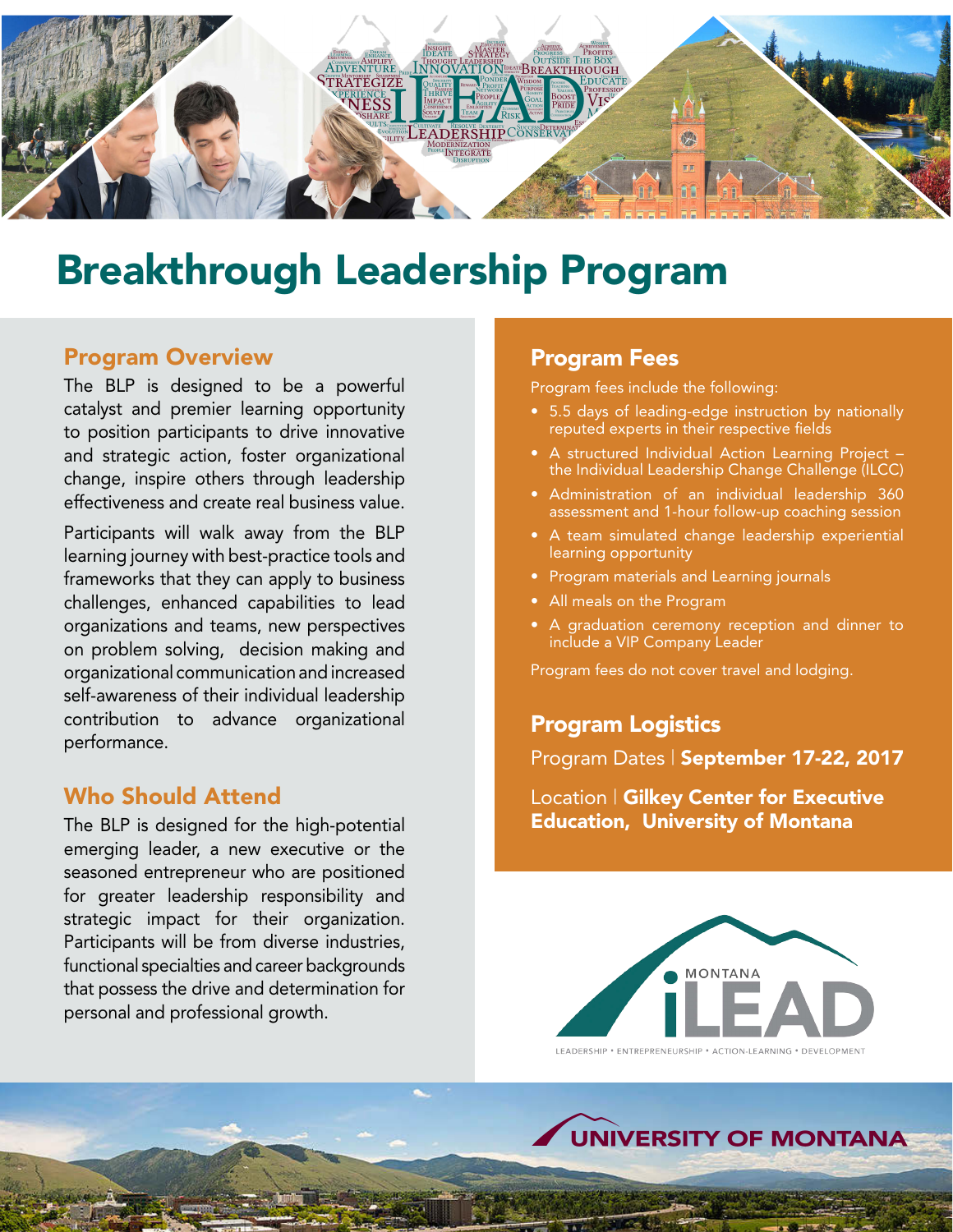

# Breakthrough Leadership Program

### Program Overview

The BLP is designed to be a powerful catalyst and premier learning opportunity to position participants to drive innovative and strategic action, foster organizational change, inspire others through leadership effectiveness and create real business value.

Participants will walk away from the BLP learning journey with best-practice tools and frameworks that they can apply to business challenges, enhanced capabilities to lead organizations and teams, new perspectives on problem solving, decision making and organizational communication and increased self-awareness of their individual leadership contribution to advance organizational performance.

## Who Should Attend

The BLP is designed for the high-potential emerging leader, a new executive or the seasoned entrepreneur who are positioned for greater leadership responsibility and strategic impact for their organization. Participants will be from diverse industries, functional specialties and career backgrounds that possess the drive and determination for personal and professional growth.

### Program Fees

Program fees include the following:

- • 5.5 days of leading-edge instruction by nationally reputed experts in their respective fields
- • A structured Individual Action Learning Project the Individual Leadership Change Challenge (ILCC)
- • Administration of an individual leadership 360 assessment and 1-hour follow-up coaching session
- A team simulated change leadership experiential learning opportunity
- Program materials and Learning journals
- • All meals on the Program
- • A graduation ceremony reception and dinner to include a VIP Company Leader

Program fees do not cover travel and lodging.

## Program Logistics

Program Dates | September 17-22, 2017

Location | Gilkey Center for Executive Education, University of Montana



LEADERSHIP • ENTREPRENEURSHIP • ACTION-LEARNING • DEVELOPMENT

**UNIVERSITY OF MONTANA**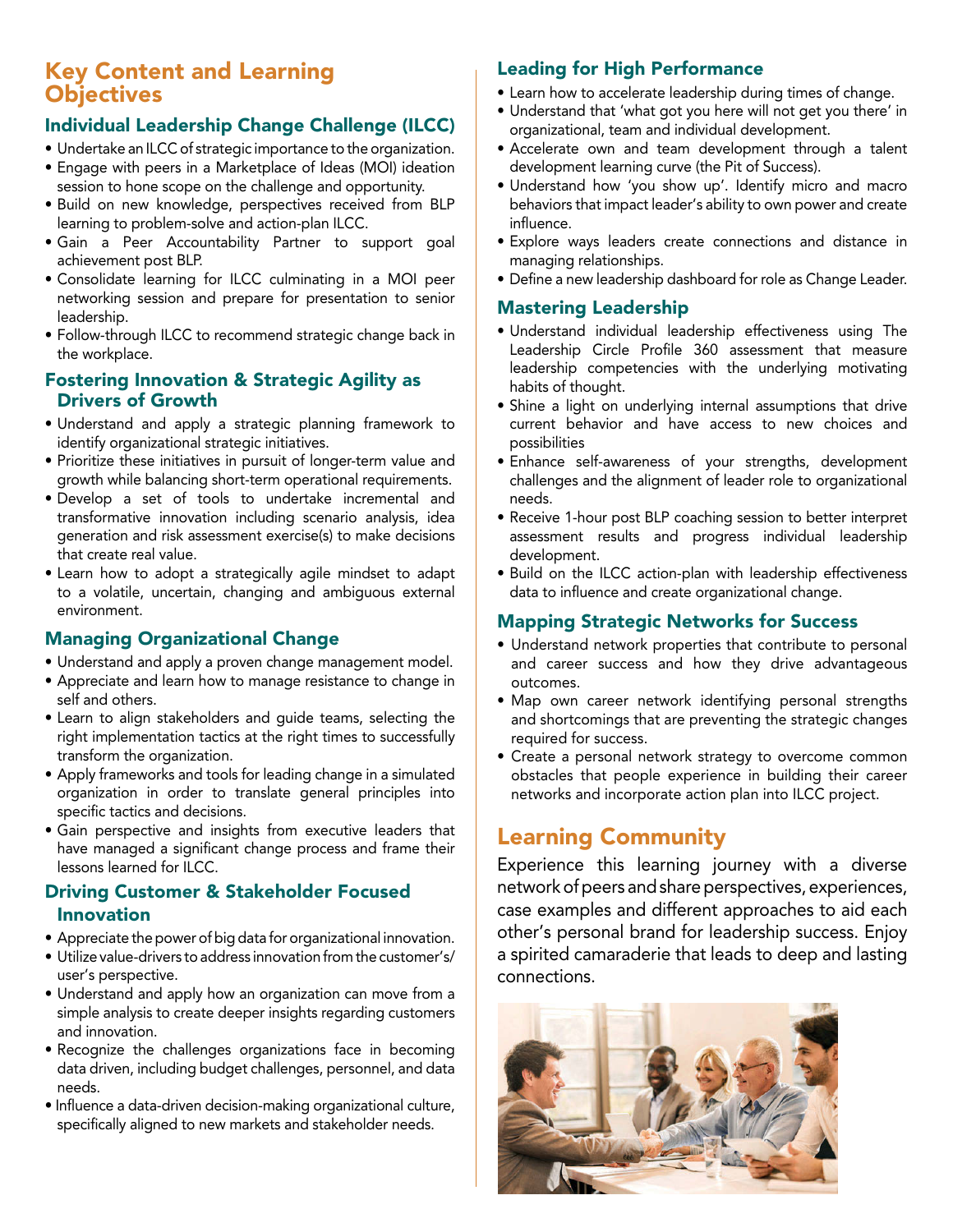## Key Content and Learning **Objectives**

#### Individual Leadership Change Challenge (ILCC)

- Undertake an ILCC of strategic importance to the organization.
- Engage with peers in a Marketplace of Ideas (MOI) ideation session to hone scope on the challenge and opportunity.
- • Build on new knowledge, perspectives received from BLP learning to problem-solve and action-plan ILCC.
- • Gain a Peer Accountability Partner to support goal achievement post BLP.
- • Consolidate learning for ILCC culminating in a MOI peer networking session and prepare for presentation to senior leadership.
- Follow-through ILCC to recommend strategic change back in the workplace.

#### Fostering Innovation & Strategic Agility as Drivers of Growth

- • Understand and apply a strategic planning framework to identify organizational strategic initiatives.
- • Prioritize these initiatives in pursuit of longer-term value and growth while balancing short-term operational requirements.
- • Develop a set of tools to undertake incremental and transformative innovation including scenario analysis, idea generation and risk assessment exercise(s) to make decisions that create real value.
- • Learn how to adopt a strategically agile mindset to adapt to a volatile, uncertain, changing and ambiguous external environment.

#### Managing Organizational Change

- Understand and apply a proven change management model.
- Appreciate and learn how to manage resistance to change in self and others.
- • Learn to align stakeholders and guide teams, selecting the right implementation tactics at the right times to successfully transform the organization.
- Apply frameworks and tools for leading change in a simulated organization in order to translate general principles into specific tactics and decisions.
- • Gain perspective and insights from executive leaders that have managed a significant change process and frame their lessons learned for ILCC.

#### Driving Customer & Stakeholder Focused Innovation

- Appreciate the power of big data for organizational innovation.
- Utilize value-drivers to address innovation from the customer's/ user's perspective.
- Understand and apply how an organization can move from a simple analysis to create deeper insights regarding customers and innovation.
- Recognize the challenges organizations face in becoming data driven, including budget challenges, personnel, and data needs.
- Influence a data-driven decision-making organizational culture, specifically aligned to new markets and stakeholder needs.

## Leading for High Performance

- Learn how to accelerate leadership during times of change.
- Understand that 'what got you here will not get you there' in organizational, team and individual development.
- • Accelerate own and team development through a talent development learning curve (the Pit of Success).
- Understand how 'you show up'. Identify micro and macro behaviors that impact leader's ability to own power and create influence.
- • Explore ways leaders create connections and distance in managing relationships.
- Define a new leadership dashboard for role as Change Leader.

#### Mastering Leadership

- • Understand individual leadership effectiveness using The Leadership Circle Profile 360 assessment that measure leadership competencies with the underlying motivating habits of thought.
- Shine a light on underlying internal assumptions that drive current behavior and have access to new choices and possibilities
- • Enhance self-awareness of your strengths, development challenges and the alignment of leader role to organizational needs.
- Receive 1-hour post BLP coaching session to better interpret assessment results and progress individual leadership development.
- Build on the ILCC action-plan with leadership effectiveness data to influence and create organizational change.

#### Mapping Strategic Networks for Success

- Understand network properties that contribute to personal and career success and how they drive advantageous outcomes.
- Map own career network identifying personal strengths and shortcomings that are preventing the strategic changes required for success.
- Create a personal network strategy to overcome common obstacles that people experience in building their career networks and incorporate action plan into ILCC project.

## Learning Community

Experience this learning journey with a diverse network of peers and share perspectives, experiences, case examples and different approaches to aid each other's personal brand for leadership success. Enjoy a spirited camaraderie that leads to deep and lasting connections.